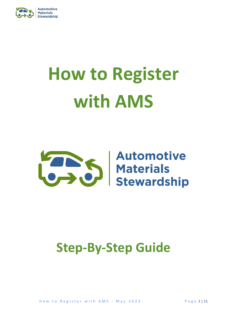

# **How to Register with AMS**



## **Step-By-Step Guide**

How to Register with AMS - May 2022 Page 1 | 11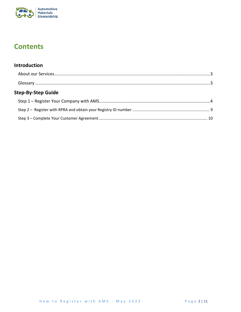

## **Contents**

#### Introduction

| <b>Step-By-Step Guide</b> |  |
|---------------------------|--|
|                           |  |
|                           |  |
|                           |  |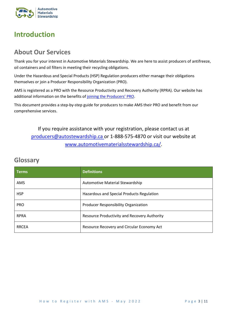

## <span id="page-2-0"></span>**Introduction**

## <span id="page-2-1"></span>**About Our Services**

Thank you for your interest in Automotive Materials Stewardship. We are here to assist producers of antifreeze, oil containers and oil filters in meeting their recycling obligations.

Under the Hazardous and Special Products (HSP) Regulation producers either manage their obligations themselves or join a Producer Responsibility Organization (PRO).

AMS is registered as a PRO with the Resource Productivity and Recovery Authority (RPRA). Our website has additional information on the benefits of [joining the Producers'](https://www.automotivematerialsstewardship.ca/ams-is-the-producers-pro/) PRO.

This document provides a step-by-step guide for producers to make AMS their PRO and benefit from our comprehensive services.

If you require assistance with your registration, please contact us at [producers@autostewardship.ca](mailto:producers@autostewardship.ca) or 1-888-575-4870 or visit our website at [www.automotivematerialsstewardship.ca/.](https://www.automotivematerialsstewardship.ca/)

## <span id="page-2-2"></span>**Glossary**

| <b>Terms</b> | <b>Definitions</b>                           |  |  |
|--------------|----------------------------------------------|--|--|
| AMS          | Automotive Material Stewardship              |  |  |
| <b>HSP</b>   | Hazardous and Special Products Regulation    |  |  |
| <b>PRO</b>   | Producer Responsibility Organization         |  |  |
| <b>RPRA</b>  | Resource Productivity and Recovery Authority |  |  |
| <b>RRCEA</b> | Resource Recovery and Circular Economy Act   |  |  |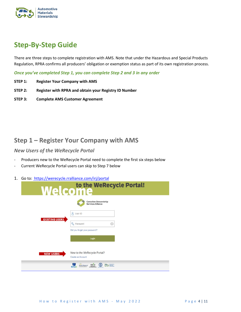

## <span id="page-3-0"></span>**Step-By-Step Guide**

There are three steps to complete registration with AMS. Note that under the Hazardous and Special Products Regulation, RPRA confirms all producers' obligation or exemption status as part of its own registration process.

*Once you've completed Step 1, you can complete Step 2 and 3 in any order*

- **STEP 1: Register Your Company with AMS**
- **STEP 2: Register with RPRA and obtain your Registry ID Number**
- **STEP 3: Complete AMS Customer Agreement**

## <span id="page-3-1"></span>**Step 1 – Register Your Company with AMS**

*New Users of the WeRecycle Portal*

- Producers new to the WeRecycle Portal need to complete the first six steps below
- Current WeRecycle Portal users can skip to Step 7 below
- 1. Go to:<https://werecycle.rralliance.com/irj/portal>

|                       | Welcome                                                                                  |  |  |  |  |  |  |
|-----------------------|------------------------------------------------------------------------------------------|--|--|--|--|--|--|
|                       | <b>Canadian Stewardship</b><br><b>Services Alliance</b>                                  |  |  |  |  |  |  |
| <b>EXISTING USERS</b> | $\mathbf{8}$<br>User ID<br><b>Q</b> Password                                             |  |  |  |  |  |  |
|                       | (o)<br>Did you forget your password?                                                     |  |  |  |  |  |  |
|                       | Login                                                                                    |  |  |  |  |  |  |
| <b>NEW USERS</b>      | New to the WeRecycle Portal?<br>Create an Account<br>Multi-Material MM M<br>$\mathbb{C}$ |  |  |  |  |  |  |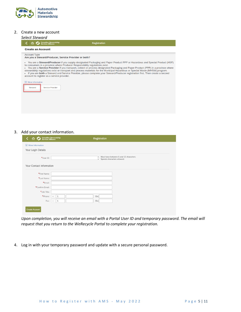

#### 2. Create a new account

|                     | Select Steward              |                                                       |                                                                                                                                                                                                                                                                                                                                                                                                                                                                                                                                                                                                                      |  |
|---------------------|-----------------------------|-------------------------------------------------------|----------------------------------------------------------------------------------------------------------------------------------------------------------------------------------------------------------------------------------------------------------------------------------------------------------------------------------------------------------------------------------------------------------------------------------------------------------------------------------------------------------------------------------------------------------------------------------------------------------------------|--|
|                     |                             | Canadian Stewardship<br>Services Alliance             | <b>Registration</b>                                                                                                                                                                                                                                                                                                                                                                                                                                                                                                                                                                                                  |  |
|                     | <b>Create an Account</b>    |                                                       |                                                                                                                                                                                                                                                                                                                                                                                                                                                                                                                                                                                                                      |  |
|                     | <b>Account Type</b>         | Are you a Steward/Producer, Service Provider or both? |                                                                                                                                                                                                                                                                                                                                                                                                                                                                                                                                                                                                                      |  |
|                     |                             | account to register as a service provider.            | • You are a Steward/Producer if you supply designated Packaging and Paper Product PPP or Hazardous and Special Product (HSP)<br>to consumers in a province where Producer Responsibility regulations exist.<br>You are a Service Provider if you transport, collect or process designated Packaging and Paper Product (PPP) in a province where<br>stewardship regulations exist or transport and process materials for the Municipal Hazardous or Special Waste (MHSW) program.<br>• If you are both a Steward and Service Provider, please complete your Steward/Producer registration first. Then create a second |  |
| $\vert \cdot \vert$ | More Information<br>Steward | Service Provider                                      |                                                                                                                                                                                                                                                                                                                                                                                                                                                                                                                                                                                                                      |  |

#### 3. Add your contact information.

| 俞<br>Lø                  | Canadian Stewardship<br>Services Alliance<br>Registration                                       |
|--------------------------|-------------------------------------------------------------------------------------------------|
| i More Information       |                                                                                                 |
| Your Login Details       |                                                                                                 |
| *User ID:                | Must have between 1 and 12 characters.<br>$\bullet$<br>Special characters allowed.<br>$\bullet$ |
| Your Contact Information |                                                                                                 |
| *First Name:             |                                                                                                 |
| *Last Name:              |                                                                                                 |
| *Email:                  |                                                                                                 |
| *Confirm Email:          |                                                                                                 |
| *Job Title:              |                                                                                                 |
| *Phone:                  | Ext.<br>$\mathbf{1}$<br>$\div$                                                                  |
| Fax:                     | $1\,$<br>Ext.<br>$\div$                                                                         |
| <b>Create Account</b>    |                                                                                                 |

*Upon completion, you will receive an email with a Portal User ID and temporary password. The email will request that you return to the WeRecycle Portal to complete your registration.* 

4. Log in with your temporary password and update with a secure personal password.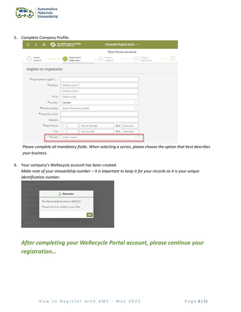

#### 5. Complete Company Profile.

| 8<br>侖                   | Canadian Stewardship<br>Services Alliance |                      |      | Steward Registration $\vee$ |                         |
|--------------------------|-------------------------------------------|----------------------|------|-----------------------------|-------------------------|
|                          |                                           |                      |      | <b>Test Environment</b>     |                         |
| Create<br>Account        | Organization<br>Registration              | Program<br>Selection |      |                             | Program<br>Registration |
| Register my Organization |                                           |                      |      |                             |                         |
| *Organization Legal N :  |                                           |                      |      |                             |                         |
| *Address:                | Address Line 1                            |                      |      |                             |                         |
|                          | Address Line 2                            |                      |      |                             |                         |
| *City:                   | Select a city                             |                      |      |                             |                         |
| *Country:                | Canada                                    |                      |      | $\checkmark$                |                         |
| *Province/State:         | Select Province or State                  |                      |      | $\checkmark$                |                         |
| *Postal/Zip Code:        |                                           |                      |      |                             |                         |
| Website:                 |                                           |                      |      |                             |                         |
| *Main Phone:             | $^+$                                      | Phone Number         | Ext. | Extension                   |                         |
| Fax:                     | $\!+$                                     | Fax Number           | Ext. | Extension                   |                         |
| *Sector:                 | Select Sector                             |                      |      | $\checkmark$                |                         |

*Please complete all mandatory fields. When selecting a sector, please choose the option that best describes your business.*

6. Your company's WeRecycle account has been created. *Make note of your stewardship number – it is important to keep it for your records as it is your unique identification number.*



*After completing your WeRecycle Portal account, please continue your registration…*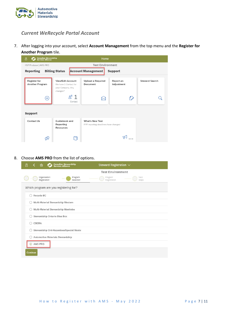

#### *Current WeRecycle Portal Account*

7. After logging into your account, select **Account Management** from the top menu and the **Register for Another Program** tile.



#### 8. Choose **AMS PRO** from the list of options.

| Canadian Stewardship<br>Services Alliance<br>ጸ<br>命  | Steward Registration $\sim$              |
|------------------------------------------------------|------------------------------------------|
|                                                      | <b>Test Environment</b>                  |
| Organization<br>Program<br>Registration<br>Selection | Program<br>Next<br>Registration<br>Steps |
| Which program are you registering for?               |                                          |
| Recycle BC                                           |                                          |
| Multi-Material Stewardship Western                   |                                          |
| Multi-Material Stewardship Manitoba                  |                                          |
| <b>Stewardship Ontario Blue Box</b>                  |                                          |
| <b>CBCRA</b>                                         |                                          |
| Stewardship Ont-Hazardous/Special Waste              |                                          |
| <b>Automotive Materials Stewardship</b>              |                                          |
| AMS PRO                                              |                                          |
| Continue                                             |                                          |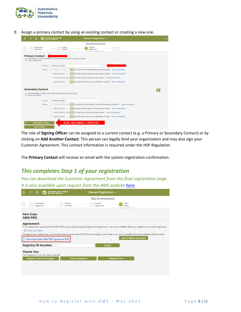

9. Assign a primary contact by using an existing contact or creating a new one.

| - Canadian Stewardship<br>- Services Alliance<br>8<br>$\bullet$<br>۰.                                   | Steward Registration V<br>Q                                                       |
|---------------------------------------------------------------------------------------------------------|-----------------------------------------------------------------------------------|
|                                                                                                         | <b>Test Environment</b>                                                           |
| Organization<br>Registration                                                                            | Program<br>Program<br>Next<br>Selection<br>Registration<br>Steps                  |
|                                                                                                         |                                                                                   |
| <b>Primary Contact</b><br>The Primary Contact receives invoices and will be able to perform all activi- |                                                                                   |
| More Information                                                                                        |                                                                                   |
| - choose a contact -<br>Contact:                                                                        | $\checkmark$                                                                      |
| *Roles: v Primary Contact                                                                               | Can perform all activities and receives invoices More Information                 |
| <b>Billing Contact</b>                                                                                  | Receives invoices and can view payment status More Information                    |
| Environmental Lead                                                                                      | (e) Can only view invoices and past reports More Information                      |
| Signing Officer                                                                                         | Has authority to bind your corporation or entity More Information                 |
| <b>Secondary Contact</b>                                                                                |                                                                                   |
|                                                                                                         | <b>B</b>                                                                          |
| The Secondary Contact will be able to prepare reports but only<br>π<br>More Information                 |                                                                                   |
| - choose a contact -<br>Contact:                                                                        | $\checkmark$                                                                      |
| *Roles: V Secondary Contact                                                                             | (4) Can perform most activities, but not final report submission More Information |
| <b>Billing Contact</b>                                                                                  | Receives invoices and can view payment status More Information                    |
| Environmental Lead                                                                                      | Can only view invoices and past reports More Information                          |
| Signing Officer                                                                                         | <b>B</b> Has authority to bind your corporation or entity More Information        |
|                                                                                                         |                                                                                   |
| <b>Add Another Contact</b>                                                                              | <b>ADD SIGNING OFFICER</b>                                                        |
| <b>Save Contacts</b>                                                                                    |                                                                                   |

The role of **Signing Officer** can be assigned to a current contact (e.g. a Primary or Secondary Contact) or by clicking on **Add Another Contact**. This person can legally bind your organization and may also sign your Customer Agreement. This contact information is required under the HSP Regulation.

The **Primary Contact** will receive an email with the system registration confirmation.

### *This completes Step 1 of your registration*

*You can download the Customer Agreement from the final registration page. It is also available upon request from the AMS website [here](https://www.automotivematerialsstewardship.ca/make-ams-your-pro/#1626469265112-9af34cd1-3764)***.**

| Canadian Stewardship<br>Services Alliance<br>Β<br>倫  | Steward Registration $\vee$                                                                                                                                                             |
|------------------------------------------------------|-----------------------------------------------------------------------------------------------------------------------------------------------------------------------------------------|
|                                                      | <b>Test Environment</b>                                                                                                                                                                 |
| Organization<br>Program<br>Registration<br>Selection | Program<br>Next<br>Registration<br>Steps                                                                                                                                                |
| <b>Next Steps</b>                                    |                                                                                                                                                                                         |
| <b>AMS PRO</b>                                       |                                                                                                                                                                                         |
| Agreement                                            |                                                                                                                                                                                         |
|                                                      | To complete your registration with AMS PRO please upload a signed copy of the Agreement. You will be notified when your agreement has been approved.                                    |
| More Information<br> i                               |                                                                                                                                                                                         |
|                                                      | The agreement outlines the commitments that members and AMS PRO are making to each other and clearly identifies the responsibilities of both parties.<br><b>Upload Signed Agreement</b> |
| <b>E-Download blank AMS PRO Agreement PDF</b>        |                                                                                                                                                                                         |
| <b>Registry ID Number</b>                            | Submit                                                                                                                                                                                  |
| <b>Thank You</b>                                     |                                                                                                                                                                                         |
| Your registration has now been received.             |                                                                                                                                                                                         |
| <b>Register for Another Program</b>                  | <b>Navigate Home</b><br><b>Confirm Obligation</b>                                                                                                                                       |
|                                                      |                                                                                                                                                                                         |
|                                                      |                                                                                                                                                                                         |
|                                                      |                                                                                                                                                                                         |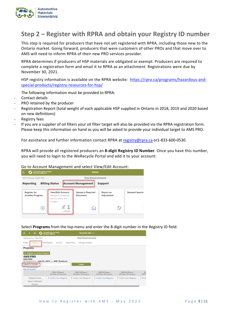

## <span id="page-8-0"></span>**Step 2 – Register with RPRA and obtain your Registry ID number**

This step is required for producers that have not yet registered with RPRA, including those new to the Ontario market. Going forward, producers that were customers of other PROs and that move over to AMS will need to inform RPRA of their new PRO services provider.

RPRA determines if producers of HSP materials are obligated or exempt. Producers are required to complete a registration form and email it to RPRA as an attachment. Registrations were due by November 30, 2021.

HSP registry information is available on the RPRA website: [https://rpra.ca/programs/hazardous-and](https://rpra.ca/programs/hazardous-and-special-products/registry-resources-for-hsp/)[special-products/registry-resources-for-hsp/](https://rpra.ca/programs/hazardous-and-special-products/registry-resources-for-hsp/)

The following information must be provided to RPRA:

- Contact details
- PRO retained by the producer
- Registration Report (total weight of each applicable HSP supplied in Ontario in 2018, 2019 and 2020 based on new definitions)
- Registry fees
- If you are a supplier of oil filters your oil filter target will also be provided via the RPRA registration form. Please keep this information on hand as you will be asked to provide your individual target to AMS PRO.

For assistance and further information contact RPRA a[t registry@rpra.ca](mailto:registry@rpra.ca) or1-833-600-0530.

RPRA will provide all registered producers an **8-digit Registry ID Number**. Once you have this number, you will need to login to the WeRecycle Portal and add it to your account:

Go to Account Management and select View/Edit Account:



Select **Programs** from the top menu and enter the 8-digit number in the Registry ID field:

| HSP Producer   AMS PRO                                            |                                             | <b>Test Environment</b>                 |                                         |                                         |                       |
|-------------------------------------------------------------------|---------------------------------------------|-----------------------------------------|-----------------------------------------|-----------------------------------------|-----------------------|
| Profile<br>Programs                                               | Past Reports<br>Invoices                    | Shared Files<br>Manage Contacts         |                                         |                                         |                       |
| <b>Programs</b>                                                   |                                             |                                         |                                         |                                         |                       |
| + Register For Another Program                                    |                                             |                                         |                                         |                                         |                       |
|                                                                   |                                             |                                         |                                         |                                         |                       |
|                                                                   |                                             |                                         |                                         |                                         |                       |
| <b>AMS PRO</b><br><b>AMS PRO</b>                                  |                                             |                                         |                                         |                                         |                       |
|                                                                   | Registered on July 16, 2021 by HSP Producer | Submit                                  |                                         |                                         |                       |
| Registry ID Number:<br>View Agreement<br><b>View All Quarters</b> |                                             |                                         |                                         |                                         |                       |
|                                                                   | 2022 Q4 Report<br>(Q3 Data, Q4 Invoice)     | 2022 Q3 Report<br>(O2 Data, Q3 Invoice) | 2022 Q2 Report<br>(O1 Data, Q2 Invoice) | 2022 Q1 Report<br>(Q4 Data, Q1 Invoice) |                       |
| <b>Obligation Status</b>                                          | Confirm Your Obligation                     | Confirm Your Obligation                 | Confirm Your Obligation                 | Confirm Your Obligation                 | 20<br>(Q3)<br>! Confi |
| Report Submission                                                 |                                             |                                         |                                         |                                         |                       |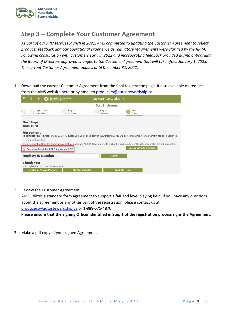

## <span id="page-9-0"></span>**Step 3 – Complete Your Customer Agreement**

*As part of our PRO services launch in 2021, AMS committed to updating the Customer Agreement to reflect producer feedback and our operational experience as regulatory requirements were clarified by the RPRA. Following consultation with customers early in 2022 and incorporating feedback provided during onboarding, the Board of Directors approved changes to the Customer Agreement that will take effect January 1, 2023. The current Customer Agreement applies until December 31, 2022.*

1. Download the current Customer Agreement from the final registration page. It also available on request from the AMS websit[e here](https://www.automotivematerialsstewardship.ca/make-ams-your-pro/#1626469265112-9af34cd1-3764) or by email to [producers@autostewardship.ca](mailto:producers@autostewardship.ca)

|                                     | 倫                            |                           | <b>Canadian Stewardship</b><br>Services Alliance                                |                           | Steward Registration $\vee$ |                         |                      |                                                                                                                                                       |                                                                                                                                                      |
|-------------------------------------|------------------------------|---------------------------|---------------------------------------------------------------------------------|---------------------------|-----------------------------|-------------------------|----------------------|-------------------------------------------------------------------------------------------------------------------------------------------------------|------------------------------------------------------------------------------------------------------------------------------------------------------|
|                                     |                              |                           |                                                                                 |                           |                             | <b>Test Environment</b> |                      |                                                                                                                                                       |                                                                                                                                                      |
|                                     | Organization<br>Registration |                           |                                                                                 | Program<br>Selection      | Program<br>Registration     |                         |                      | Next<br>Steps                                                                                                                                         |                                                                                                                                                      |
| <b>Next Steps</b><br><b>AMS PRO</b> |                              |                           |                                                                                 |                           |                             |                         |                      |                                                                                                                                                       |                                                                                                                                                      |
| <b>Agreement</b>                    | i More Information           |                           |                                                                                 |                           |                             |                         |                      |                                                                                                                                                       | To complete your registration with AMS PRO please upload a signed copy of the Agreement. You will be notified when your agreement has been approved. |
|                                     |                              |                           |                                                                                 |                           |                             |                         |                      | The agreement outlines the commitments that members and AMS PRO are making to each other and clearly identifies the responsibilities of both parties. |                                                                                                                                                      |
|                                     |                              |                           | A Download blank AMS PRO Agreement PDF                                          |                           |                             |                         |                      | <b>Upload Signed Agreement</b>                                                                                                                        |                                                                                                                                                      |
|                                     |                              | <b>Registry ID Number</b> |                                                                                 |                           |                             | Submit                  |                      |                                                                                                                                                       |                                                                                                                                                      |
| Thank You                           |                              |                           | Your registration has now been received.<br><b>Register for Another Program</b> | <b>Confirm Obligation</b> |                             |                         | <b>Navigate Home</b> |                                                                                                                                                       |                                                                                                                                                      |

2. Review the Customer Agreement.

AMS utilizes a standard form agreement to support a fair and level playing field. If you have any questions about the agreement or any other part of the registration, please contact us at [producers@autostewardship.ca](mailto:transition@autostewardship.ca) or 1-888-575-4870.

**Please ensure that the Signing Officer identified in Step 1 of the registration process signs the Agreement.**

3. Make a pdf copy of your signed Agreement.